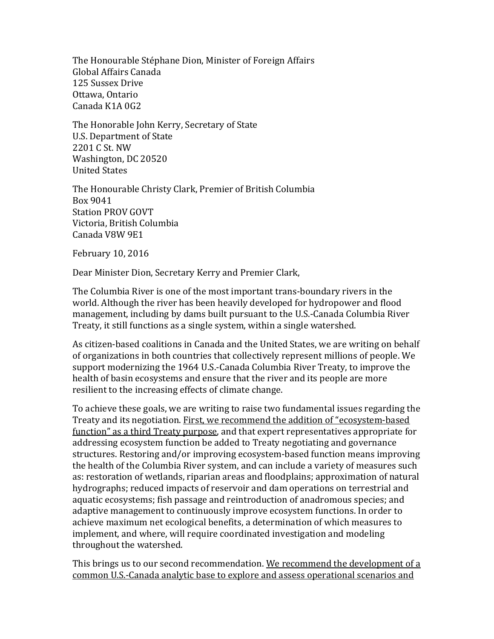The Honourable Stéphane Dion, Minister of Foreign Affairs Global Affairs Canada 125 Sussex Drive Ottawa, Ontario Canada K1A 0G2

The Honorable John Kerry, Secretary of State U.S. Department of State 2201 C St. NW Washington, DC 20520 United States

The Honourable Christy Clark, Premier of British Columbia Box 9041 Station PROV GOVT Victoria, British Columbia Canada V8W 9E1

February 10, 2016

Dear Minister Dion, Secretary Kerry and Premier Clark,

The Columbia River is one of the most important trans-boundary rivers in the world. Although the river has been heavily developed for hydropower and flood management, including by dams built pursuant to the U.S.-Canada Columbia River Treaty, it still functions as a single system, within a single watershed.

As citizen-based coalitions in Canada and the United States, we are writing on behalf of organizations in both countries that collectively represent millions of people. We support modernizing the 1964 U.S.-Canada Columbia River Treaty, to improve the health of basin ecosystems and ensure that the river and its people are more resilient to the increasing effects of climate change.

To achieve these goals, we are writing to raise two fundamental issues regarding the Treaty and its negotiation. First, we recommend the addition of "ecosystem-based" function" as a third Treaty purpose, and that expert representatives appropriate for addressing ecosystem function be added to Treaty negotiating and governance structures. Restoring and/or improving ecosystem-based function means improving the health of the Columbia River system, and can include a variety of measures such as: restoration of wetlands, riparian areas and floodplains; approximation of natural hydrographs; reduced impacts of reservoir and dam operations on terrestrial and aquatic ecosystems; fish passage and reintroduction of anadromous species; and adaptive management to continuously improve ecosystem functions. In order to achieve maximum net ecological benefits, a determination of which measures to implement, and where, will require coordinated investigation and modeling throughout the watershed.

This brings us to our second recommendation. We recommend the development of a common U.S.-Canada analytic base to explore and assess operational scenarios and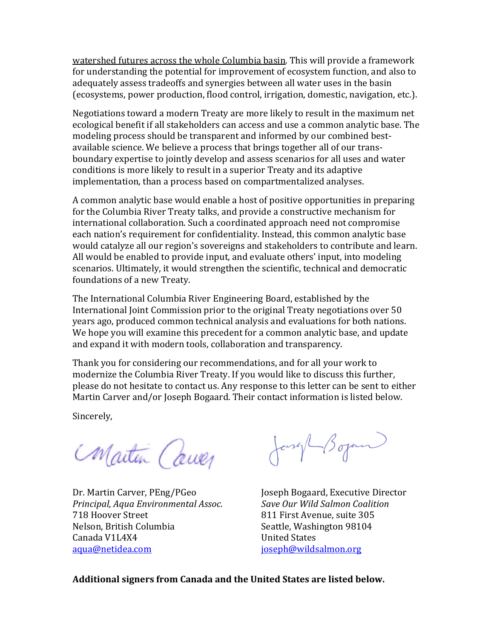watershed futures across the whole Columbia basin. This will provide a framework for understanding the potential for improvement of ecosystem function, and also to adequately assess tradeoffs and synergies between all water uses in the basin (ecosystems, power production, flood control, irrigation, domestic, navigation, etc.).

Negotiations toward a modern Treaty are more likely to result in the maximum net ecological benefit if all stakeholders can access and use a common analytic base. The modeling process should be transparent and informed by our combined bestavailable science. We believe a process that brings together all of our transboundary expertise to jointly develop and assess scenarios for all uses and water conditions is more likely to result in a superior Treaty and its adaptive implementation, than a process based on compartmentalized analyses.

A common analytic base would enable a host of positive opportunities in preparing for the Columbia River Treaty talks, and provide a constructive mechanism for international collaboration. Such a coordinated approach need not compromise each nation's requirement for confidentiality. Instead, this common analytic base would catalyze all our region's sovereigns and stakeholders to contribute and learn. All would be enabled to provide input, and evaluate others' input, into modeling scenarios. Ultimately, it would strengthen the scientific, technical and democratic foundations of a new Treaty.

The International Columbia River Engineering Board, established by the International Joint Commission prior to the original Treaty negotiations over 50 years ago, produced common technical analysis and evaluations for both nations. We hope you will examine this precedent for a common analytic base, and update and expand it with modern tools, collaboration and transparency.

Thank you for considering our recommendations, and for all your work to modernize the Columbia River Treaty. If you would like to discuss this further, please do not hesitate to contact us. Any response to this letter can be sent to either Martin Carver and/or Joseph Bogaard. Their contact information is listed below.

Sincerely, 

Maitin Cauer

Dr. Martin Carver, PEng/PGeo *Principal, Aqua Environmental Assoc.* 718 Hoover Street Nelson, British Columbia Canada V1L4X4 aqua@netidea.com

Jensyl Boyan

Joseph Bogaard, Executive Director *Save Our Wild Salmon Coalition* 811 First Avenue, suite 305 Seattle, Washington 98104 United States joseph@wildsalmon.org

**Additional signers from Canada and the United States are listed below.**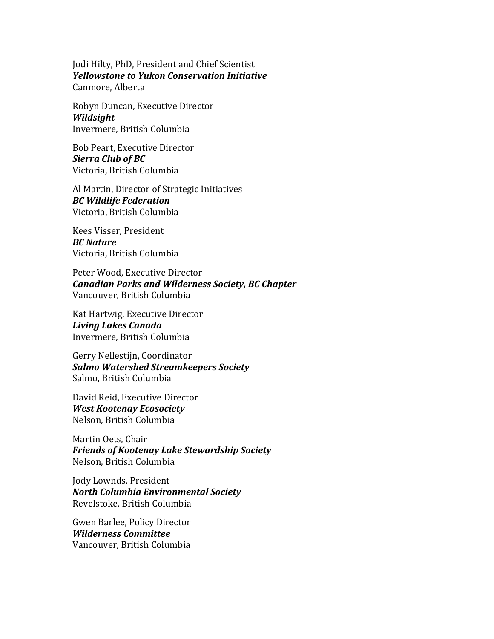Jodi Hilty, PhD, President and Chief Scientist *Yellowstone to Yukon Conservation Initiative* Canmore, Alberta

Robyn Duncan, Executive Director *Wildsight* Invermere, British Columbia

Bob Peart, Executive Director *Sierra Club of BC* Victoria, British Columbia

Al Martin, Director of Strategic Initiatives *BC Wildlife Federation* Victoria, British Columbia

Kees Visser, President *BC Nature* Victoria, British Columbia

Peter Wood, Executive Director *Canadian Parks and Wilderness Society, BC Chapter* Vancouver, British Columbia

Kat Hartwig, Executive Director *Living Lakes Canada* Invermere, British Columbia

Gerry Nellestijn, Coordinator *Salmo Watershed Streamkeepers Society* Salmo, British Columbia

David Reid, Executive Director *West Kootenay Ecosociety* Nelson, British Columbia

Martin Oets, Chair *Friends of Kootenay Lake Stewardship Society* Nelson, British Columbia

Jody Lownds, President *North Columbia Environmental Society* Revelstoke, British Columbia

Gwen Barlee, Policy Director *Wilderness Committee* Vancouver, British Columbia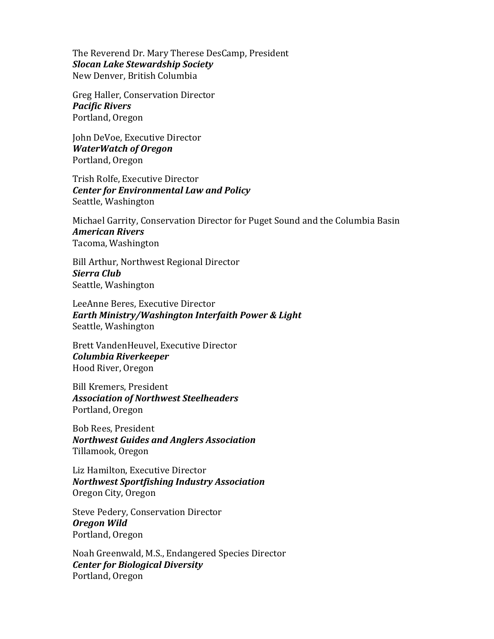The Reverend Dr. Mary Therese DesCamp, President *Slocan Lake Stewardship Society* New Denver, British Columbia

Greg Haller, Conservation Director *Pacific Rivers* Portland, Oregon

John DeVoe, Executive Director *WaterWatch of Oregon* Portland, Oregon

Trish Rolfe, Executive Director *Center for Environmental Law and Policy* Seattle, Washington

Michael Garrity, Conservation Director for Puget Sound and the Columbia Basin *American Rivers* Tacoma, Washington

Bill Arthur, Northwest Regional Director *Sierra Club* Seattle, Washington

LeeAnne Beres, Executive Director *Earth Ministry/Washington Interfaith Power & Light* Seattle, Washington

Brett VandenHeuvel, Executive Director *Columbia Riverkeeper* Hood River, Oregon

Bill Kremers, President *Association of Northwest Steelheaders* Portland, Oregon

Bob Rees, President *Northwest Guides and Anglers Association* Tillamook, Oregon

Liz Hamilton, Executive Director *Northwest Sportfishing Industry Association* Oregon City, Oregon

Steve Pedery, Conservation Director *Oregon Wild* Portland, Oregon

Noah Greenwald, M.S., Endangered Species Director *Center for Biological Diversity* Portland, Oregon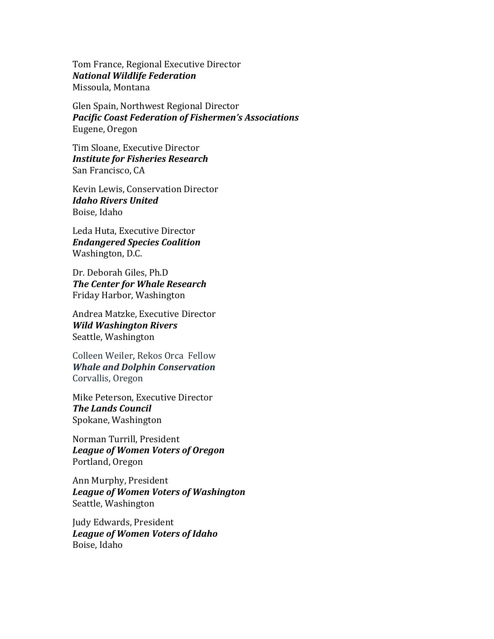Tom France, Regional Executive Director *National Wildlife Federation* Missoula, Montana

Glen Spain, Northwest Regional Director *Pacific Coast Federation of Fishermen's Associations* Eugene, Oregon

Tim Sloane, Executive Director *Institute for Fisheries Research* San Francisco, CA

Kevin Lewis, Conservation Director *Idaho Rivers United* Boise, Idaho

Leda Huta, Executive Director *Endangered Species Coalition* Washington, D.C.

Dr. Deborah Giles, Ph.D. **The Center for Whale Research** Friday Harbor, Washington

Andrea Matzke, Executive Director *Wild Washington Rivers* Seattle, Washington

Colleen Weiler, Rekos Orca Fellow *Whale and Dolphin Conservation* Corvallis, Oregon

Mike Peterson, Executive Director **The Lands Council** Spokane, Washington

Norman Turrill, President *League of Women Voters of Oregon* Portland, Oregon

Ann Murphy, President *League of Women Voters of Washington* Seattle, Washington

Judy Edwards, President League of Women Voters of Idaho Boise, Idaho